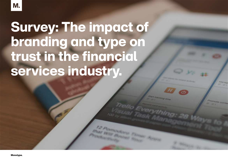# Survey: The impact of branding and type on trust in the financial services industry.

tracking time

**DIFFICULTS**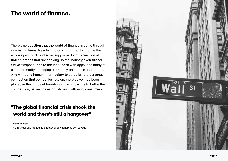### The world of finance.

There's no question that the world of finance is going through interesting times. New technology continues to change the way we pay, bank and save, supported by a generation of fintech brands that are shaking up the industry even further. We've swapped trips to the local bank with apps, and many of us are primarily managing our money on phones and tablets. And without a human intermediary to establish the personal connection that companies rely on, more power has been placed in the hands of branding - which now has to battle the competition, as well as establish trust with wary consumers.

#### "The global financial crisis shook the world and there's still a hangover"

**Gary Rohloff**

Co-founder and managing director of payment platform Laybuy

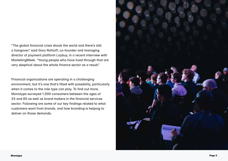"The global financial crisis shook the world and there's still a hangover," said Gary Rohloff, co-founder and managing director of payment platform Laybuy, in a recent interview with MarketingWeek. "Young people who have lived through that are very skeptical about the whole finance sector as a result."

FInancial organizations are operating in a challenging environment, but it's one that's filled with possibility, particularly when it comes to the role type can play. To find out more, Monotype surveyed 1,000 consumers between the ages of 25 and 60 as well as brand makers in the financial services sector. Following are some of our key findings related to what customers want from brands, and how branding is helping to deliver on those demands.

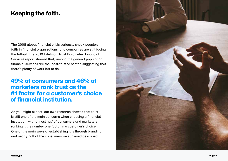### Keeping the faith.

The 2008 global financial crisis seriously shook people's faith in financial organizations, and companies are still facing the fallout. The 2019 Edelman Trust Barometer: Financial Services report showed that, among the general population, financial services are the least-trusted sector, suggesting that there's plenty of work left to do.

#### 49% of consumers and 46% of marketers rank trust as the #1 factor for a customer's choice of financial institution.

As you might expect, our own research showed that trust is still one of the main concerns when choosing a financial institution, with almost half of consumers and marketers ranking it the number one factor in a customer's choice. One of the main ways of establishing it is through branding, and nearly half of the consumers we surveyed described

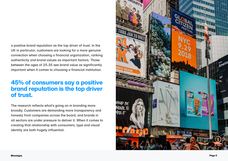a positive brand reputation as the top driver of trust. In the UK in particular, customers are looking for a more genuine connection when choosing a financial organization, ranking authenticity and brand values as important factors. Those between the ages of 25-35 see brand value as significantly important when it comes to choosing a financial institution.

#### 45% of consumers say a positive brand reputation is the top driver of trust.

The research reflects what's going on in branding more broadly. Customers are demanding more transparency and honesty from companies across the board, and brands in all sectors are under pressure to deliver it. When it comes to creating that relationship with consumers, type and visual identity are both hugely influential.

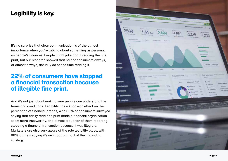### Legibility is key.

It's no surprise that clear communication is of the utmost importance when you're talking about something as personal as people's finances. People might joke about reading the fine print, but our research showed that half of consumers always, or almost always, actually do spend time reading it.

#### 22% of consumers have stopped a financial transaction because of illegible fine print.

And it's not just about making sure people can understand the terms and conditions. Legibility has a knock-on effect on the perception of financial brands, with 65% of consumers surveyed saying that easily read fine print made a financial organization seem more trustworthy, and almost a quarter of them reporting stopping a financial transaction because it was illegible. Marketers are also very aware of the role legibility plays, with 88% of them saying it's an important part of their branding strategy.

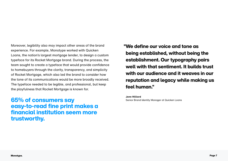Moreover, legibility also may impact other areas of the brand experience. For example, Monotype worked with Quicken Loans, the nation's largest mortgage lender, to design a custom typeface for its Rocket Mortgage brand. During the process, the team sought to create a typeface that would provide confidence to homebuyers through the clarity, transparency, and simplicity of Rocket Mortgage, which also led the brand to consider how the tone of its communications would be more broadly received. The typeface needed to be legible, and professional, but keep the playfulness that Rocket Mortgage is known for.

65% of consumers say easy-to-read fine print makes a financial institution seem more trustworthy.

"We define our voice and tone as being established, without being the establishment. Our typography pairs well with that sentiment. It builds trust with our audience and it weaves in our reputation and legacy while making us feel human."

 **Jenn Hilliard** Senior Brand Identity Manager at Quicken Loans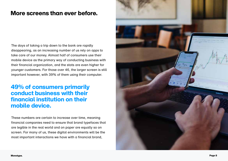#### More screens than ever before.

The days of taking a trip down to the bank are rapidly disappearing, as an increasing number of us rely on apps to take care of our money. Almost half of consumers use their mobile device as the primary way of conducting business with their financial organization, and the stats are even higher for younger customers. For those over 46, the larger screen is still important however, with 39% of them using their computer.

#### 49% of consumers primarily conduct business with their financial institution on their mobile device.

These numbers are certain to increase over time, meaning financial companies need to ensure that brand typefaces that are legible in the real world and on paper are equally so on screen. For many of us, these digital environments will be the most important interactions we have with a financial brand,

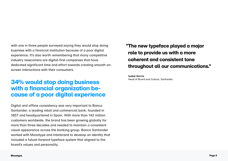with one in three people surveyed saying they would stop doing business with a financial institution because of a poor digital experience. It's also worth remembering that many competitive industry newcomers are digital-first companies that have dedicated significant time and effort towards creating smooth onscreen interactions with their consumers.

#### **34% would stop doing business** Head of Brand and Culture, Santander. with a financial organization because of a poor digital experience

Digital and offline consistency was very important to Banco Santander, a leading retail and commercial bank, founded in 1857 and headquartered in Spain. With more than 142 million customers worldwide, the brand has been growing globally for more than three decades and needed to maintain a consistent visual appearance across the banking group. Banco Santander worked with Monotype and Interbrand to develop an identity that included a future-forward typeface system that aligned to the brand's values and personality.

 "The new typeface played a major role to provide us with a more coherent and consistent tone throughout all our communications."

 **Isabel Garcia**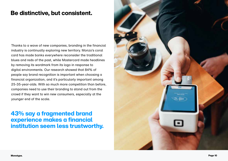#### Be distinctive, but consistent.

Thanks to a wave of new companies, branding in the financial industry is continually exploring new territory. Monzo's coral card has made banks everywhere reconsider the traditional blues and reds of the past, while Mastercard made headlines by removing its wordmark from its logo in response to digital environments. Our research showed that 84% of people say brand recognition is important when choosing a financial organization, and it's particularly important among 25-35-year-olds. With so much more competition than before, companies need to use their branding to stand out from the crowd if they want to win new consumers, especially at the younger end of the scale.

#### 43% say a fragmented brand experience makes a financial institution seem less trustworthy.

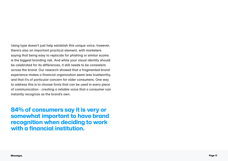Using type doesn't just help establish this unique voice, however, there's also an important practical element, with marketers saying that being easy to replicate for phishing or similar scams is the biggest branding risk. And while your visual identity should be celebrated for its differences, it still needs to be consistent across the brand. Our research showed that a fragmented brand experience makes a financial organization seem less trustworthy, and that it's of particular concern for older consumers. One way to address this is to choose fonts that can be used in every piece of communication - creating a reliable voice that a consumer can instantly recognize as the brand's own.

84% of consumers say it is very or somewhat important to have brand recognition when deciding to work with a financial institution.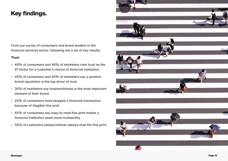### Key findings.

From our survey of consumers and brand leaders in the financial services sector, following are a set of key results.

#### **Trust**

- • 49% of consumers and 46% of marketers rank trust as the #1 factor for a customer's choice of financial institution
- • 45% of consumers and 40% of marketers say a positive brand reputation is the top driver of trust
- • 30% of marketers say trustworthiness is the most important element of their brand
- • 22% of consumers have stopped a financial transaction because of illegible fine print
- • 65% of consumers say easy-to-read fine print makes a financial institution seem more trustworthy
- • 50% of customers always/almost always read the fine print.

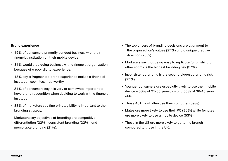#### **Brand experience**

- • 49% of consumers primarily conduct business with their financial institution on their mobile device.
- 34% would stop doing business with a financial organization because of a poor digital experience.
- • 43% say a fragmented brand experience makes a financial institution seem less trustworthy.
- • 84% of consumers say it is very or somewhat important to have brand recognition when deciding to work with a financial institution.
- • 88% of marketers say fine print legibility is important to their branding strategy.
- • Marketers say objectives of branding are competitive differentiation (22%), consistent branding (22%), and memorable branding (21%).
- The top drivers of branding decisions are alignment to the organization's values (27%) and a unique creative direction (25%).
- • Marketers say that being easy to replicate for phishing or other scams is the biggest branding risk (37%).
- Inconsistent branding is the second biggest branding risk (27%).
- • Younger consumers are especially likely to use their mobile device – 58% of 25-35 year-olds and 55% of 36-45 yearolds.
- • Those 46+ most often use their computer (39%).
- Males are more likely to use their PC (36%) while females are more likely to use a mobile device (53%).
- • Those in the US are more likely to go to the branch compared to those in the UK.